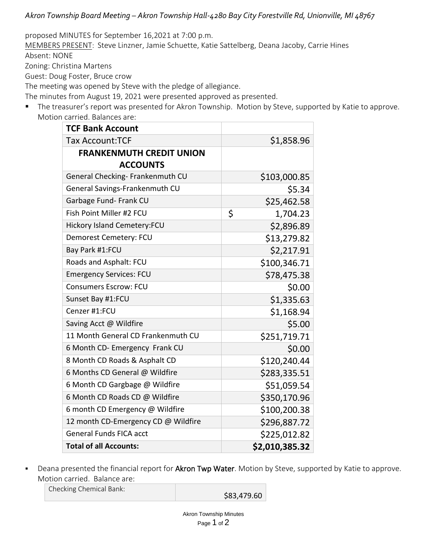*Akron Township Board Meeting – Akron Township Hall-4280 Bay City Forestville Rd, Unionville, MI 48767*

proposed MINUTES for September 16,2021 at 7:00 p.m.

MEMBERS PRESENT: Steve Linzner, Jamie Schuette, Katie Sattelberg, Deana Jacoby, Carrie Hines Absent: NONE

Zoning: Christina Martens

Guest: Doug Foster, Bruce crow

The meeting was opened by Steve with the pledge of allegiance.

The minutes from August 19, 2021 were presented approved as presented.

■ The treasurer's report was presented for Akron Township. Motion by Steve, supported by Katie to approve. Motion carried. Balances are:

| <b>TCF Bank Account</b>             |                |
|-------------------------------------|----------------|
| <b>Tax Account:TCF</b>              | \$1,858.96     |
| <b>FRANKENMUTH CREDIT UNION</b>     |                |
| <b>ACCOUNTS</b>                     |                |
| General Checking- Frankenmuth CU    | \$103,000.85   |
| General Savings-Frankenmuth CU      | \$5.34         |
| Garbage Fund- Frank CU              | \$25,462.58    |
| Fish Point Miller #2 FCU            | \$<br>1,704.23 |
| <b>Hickory Island Cemetery:FCU</b>  | \$2,896.89     |
| Demorest Cemetery: FCU              | \$13,279.82    |
| Bay Park #1:FCU                     | \$2,217.91     |
| Roads and Asphalt: FCU              | \$100,346.71   |
| <b>Emergency Services: FCU</b>      | \$78,475.38    |
| <b>Consumers Escrow: FCU</b>        | \$0.00         |
| Sunset Bay #1:FCU                   | \$1,335.63     |
| Cenzer #1:FCU                       | \$1,168.94     |
| Saving Acct @ Wildfire              | \$5.00         |
| 11 Month General CD Frankenmuth CU  | \$251,719.71   |
| 6 Month CD- Emergency Frank CU      | \$0.00         |
| 8 Month CD Roads & Asphalt CD       | \$120,240.44   |
| 6 Months CD General @ Wildfire      | \$283,335.51   |
| 6 Month CD Gargbage @ Wildfire      | \$51,059.54    |
| 6 Month CD Roads CD @ Wildfire      | \$350,170.96   |
| 6 month CD Emergency @ Wildfire     | \$100,200.38   |
| 12 month CD-Emergency CD @ Wildfire | \$296,887.72   |
| <b>General Funds FICA acct</b>      | \$225,012.82   |
| <b>Total of all Accounts:</b>       | \$2,010,385.32 |

■ Deana presented the financial report for Akron Twp Water. Motion by Steve, supported by Katie to approve. Motion carried. Balance are:

Checking Chemical Bank:

\$83,479.60